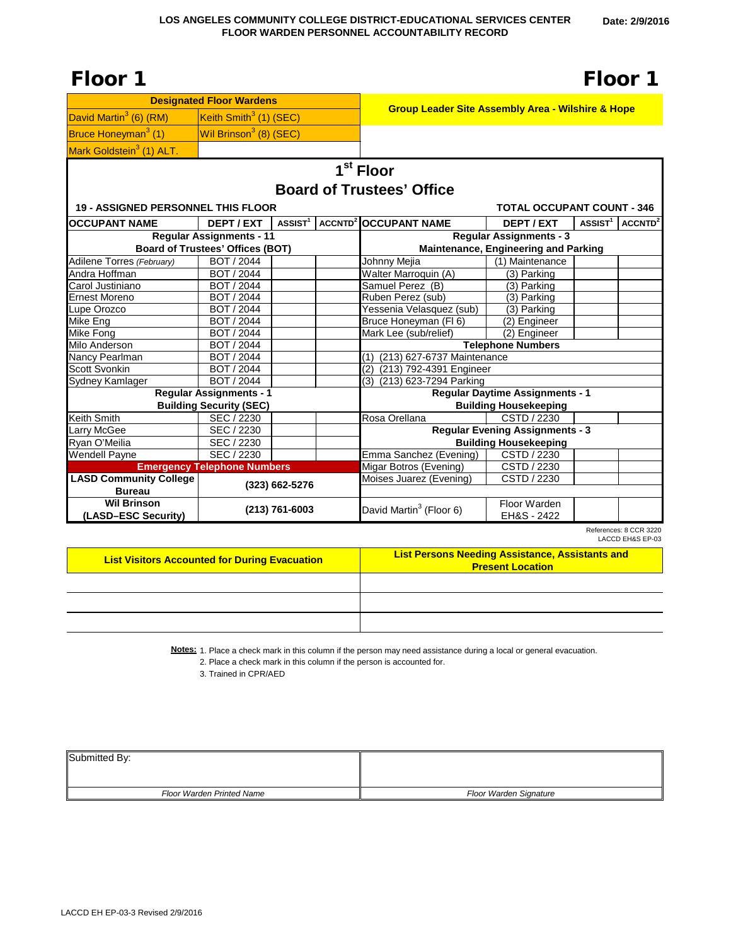**LOS ANGELES COMMUNITY COLLEGE DISTRICT-EDUCATIONAL SERVICES CENTER FLOOR WARDEN PERSONNEL ACCOUNTABILITY RECORD (SENIOR STAFF MEMBERS HIGHLIGHTED IN GREEN BOXES ON MAPS)**

**Date: 2/9/2016**

LACCD EH EP-03-3 Revised 2/9/2016

# Floor 1

**List Persons Needing Assistance, Assistants and List Visitors Accounted for During Evacuation List Present Location Present Location** 

2. Place a check mark in this column if the person is accounted for.

David Martin<sup>3</sup> (6) (RM) Bruce Honeyman<sup>3</sup> (1) Mark Goldstein<sup>3</sup> (1) ALT. **OCCUPANT NAME DEPT / EXT ASSIST1 ACCNTD<sup>2</sup> OCCUPANT NAME DEPT / EXT ASSIST1 ACCNTD<sup>2</sup>** Adilene Torres (February) | BOT / 2044 | **Johnny Mejia** | (1) Maintenance Andra Hoffman | BOT / 2044 | | Walter Marroquin (A) | (3) Parking Carol Justiniano | BOT / 2044 | | | Samuel Perez (B) | (3) Parking Ernest Moreno | BOT / 2044 | | |Ruben Perez (sub) | (3) Parking Lupe Orozco BOT / 2044 Yessenia Velasquez (sub) (3) Parking Mike Eng | BOT / 2044 | | Bruce Honeyman (FI 6) | (2) Engineer Mike Fong | BOT / 2044 | | Mark Lee (sub/relief) | (2) Engineer Milo Anderson **BOT** / 2044 Nancy Pearlman | BOT / 2044 Scott Svonkin BOT / 2044 Sydney Kamlager **BOT** / 2044 Keith Smith | SEC / 2230 | | Rosa Orellana | CSTD / 2230 Larry McGee SEC / 2230 Ryan O'Meilia SEC / 2230 SEC / 2230 | Emma Sanchez (Evening) CSTD / 2230 Migar Botros (Evening) | CSTD / 2230 Moises Juarez (Evening) | CSTD / 2230 **Emergency Telephone Numbers (323) 662-5276 (213) 761-6003 Telephone Numbers Regular Daytime Assignments - 1 Building Housekeeping Regular Assignments - 1 Building Security (SEC)** (1) (213) 627-6737 Maintenance (2) (213) 792-4391 Engineer **LASD Community College Bureau Wil Brinson (LASD–ESC Security)** (3) (213) 623-7294 Parking Keith Smith $^3$  (1) (SEC) Wil Brinson $^3$  (8) (SEC) **Designated Floor Wardens Regular Assignments - 3 Maintenance, Engineering and Parking 1st Floor Board of Trustees' Office Regular Assignments - 11 Board of Trustees' Offices (BOT) Group Leader Site Assembly Area - Wilshire & Hope** Floor Warden David Martin<sup>3</sup> (Floor 6) EH&S - 2422 **19 - ASSIGNED PERSONNEL THIS FLOOR TOTAL OCCUPANT COUNT - 346 Regular Evening Assignments - 3 Building Housekeeping** LACCD EH&S EP-03

3. Trained in CPR/AED

| Submitted By:                    |                               |
|----------------------------------|-------------------------------|
|                                  |                               |
| <b>Floor Warden Printed Name</b> | <b>Floor Warden Signature</b> |

**Notes:** 1. Place a check mark in this column if the person may need assistance during a local or general evacuation.

Floor 1

References: 8 CCR 3220

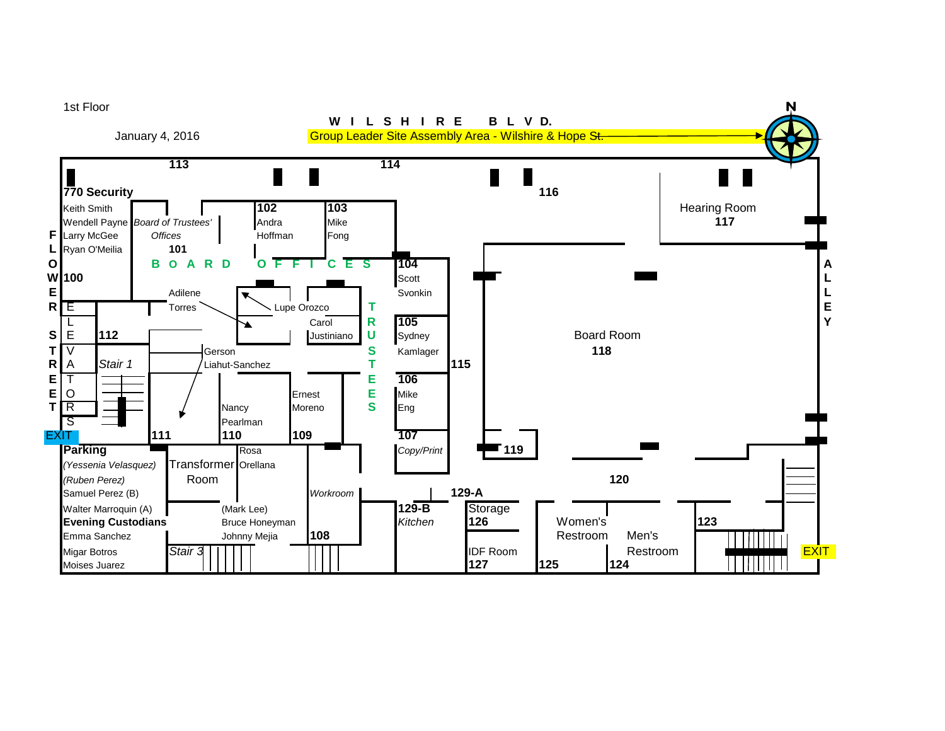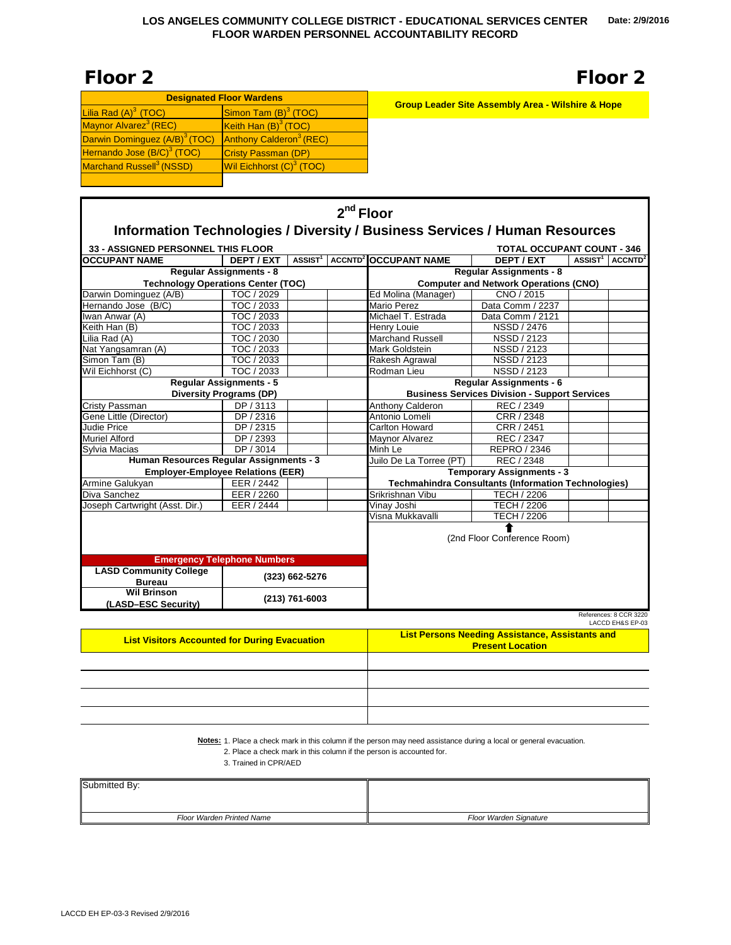### Floor 2

|                                                                                             | <b>Designated Floor Wardens</b>           | <b>Group Leader Site Assembly Area - Wilshire &amp; Hope</b> |
|---------------------------------------------------------------------------------------------|-------------------------------------------|--------------------------------------------------------------|
| Lilia Rad $(A)^3$ (TOC)                                                                     | Simon Tam $(B)^3$ (TOC)                   |                                                              |
| Maynor Alvarez <sup>3</sup> (REC)                                                           | <b>Keith Han <math>(B)^3</math> (TOC)</b> |                                                              |
| Darwin Dominguez (A/B) <sup>3</sup> (TOC)<br>$\sqrt{\text{Anthony Calderon}^3(\text{REC})}$ |                                           |                                                              |
| Hernando Jose (B/C) <sup>3</sup> (TOC)                                                      | <b>Cristy Passman (DP)</b>                |                                                              |
| Marchand Russell <sup>3</sup> (NSSD)                                                        | Wil Eichhorst $(C)^3$ (TOC)               |                                                              |
|                                                                                             |                                           |                                                              |

2. Place a check mark in this column if the person is accounted for.

| 2 <sup>nd</sup> Floor                                                             |                                |                     |  |                                                      |                                                            |  |                                 |
|-----------------------------------------------------------------------------------|--------------------------------|---------------------|--|------------------------------------------------------|------------------------------------------------------------|--|---------------------------------|
| <b>Information Technologies / Diversity / Business Services / Human Resources</b> |                                |                     |  |                                                      |                                                            |  |                                 |
| 33 - ASSIGNED PERSONNEL THIS FLOOR                                                |                                |                     |  |                                                      | <b>TOTAL OCCUPANT COUNT - 346</b>                          |  |                                 |
| <b>OCCUPANT NAME</b>                                                              | DEPT / EXT                     | ASSIST <sup>1</sup> |  | <b>ACCNTD<sup>2</sup> OCCUPANT NAME</b>              | DEPT / EXT                                                 |  | $ASSIST1$   ACCNTD <sup>2</sup> |
|                                                                                   | <b>Regular Assignments - 8</b> |                     |  |                                                      | <b>Regular Assignments - 8</b>                             |  |                                 |
| <b>Technology Operations Center (TOC)</b>                                         |                                |                     |  |                                                      | <b>Computer and Network Operations (CNO)</b>               |  |                                 |
| Darwin Dominguez (A/B)                                                            | TOC / 2029                     |                     |  | Ed Molina (Manager)                                  | CNO / 2015                                                 |  |                                 |
| Hernando Jose (B/C)                                                               | TOC / 2033                     |                     |  | <b>Mario Perez</b>                                   | Data Comm / 2237                                           |  |                                 |
| Iwan Anwar (A)                                                                    | TOC / 2033                     |                     |  | Michael T. Estrada                                   | Data Comm / 2121                                           |  |                                 |
| Keith Han (B)                                                                     | TOC / 2033                     |                     |  | <b>Henry Louie</b>                                   | <b>NSSD / 2476</b>                                         |  |                                 |
| Lilia Rad (A)                                                                     | TOC / 2030                     |                     |  | <b>Marchand Russell</b>                              | <b>NSSD / 2123</b>                                         |  |                                 |
| Nat Yangsamran (A)                                                                | TOC / 2033                     |                     |  | Mark Goldstein                                       | NSSD / 2123                                                |  |                                 |
| Simon Tam (B)                                                                     | TOC / 2033                     |                     |  | Rakesh Agrawal                                       | <b>NSSD / 2123</b>                                         |  |                                 |
| Wil Eichhorst (C)                                                                 | TOC / 2033                     |                     |  | Rodman Lieu                                          | <b>NSSD / 2123</b>                                         |  |                                 |
|                                                                                   | <b>Regular Assignments - 5</b> |                     |  | <b>Regular Assignments - 6</b>                       |                                                            |  |                                 |
|                                                                                   | <b>Diversity Programs (DP)</b> |                     |  | <b>Business Services Division - Support Services</b> |                                                            |  |                                 |
| <b>Cristy Passman</b>                                                             | DP / 3113                      |                     |  | <b>Anthony Calderon</b>                              | REC / 2349                                                 |  |                                 |
| Gene Little (Director)                                                            | DP / 2316                      |                     |  | Antonio Lomeli                                       | CRR / 2348                                                 |  |                                 |
| <b>Judie Price</b>                                                                | DP / 2315                      |                     |  | <b>Carlton Howard</b>                                | CRR / 2451                                                 |  |                                 |
| <b>Muriel Alford</b>                                                              | DP / 2393                      |                     |  | Maynor Alvarez                                       | REC / 2347                                                 |  |                                 |
| Sylvia Macias                                                                     | DP / 3014                      |                     |  | Minh Le                                              | <b>REPRO / 2346</b>                                        |  |                                 |
| Human Resources Regular Assignments - 3                                           |                                |                     |  | Juilo De La Torree (PT)                              | REC / 2348                                                 |  |                                 |
| <b>Employer-Employee Relations (EER)</b>                                          |                                |                     |  |                                                      | <b>Temporary Assignments - 3</b>                           |  |                                 |
| Armine Galukyan                                                                   | EER / 2442                     |                     |  |                                                      | <b>Techmahindra Consultants (Information Technologies)</b> |  |                                 |
| Diva Sanchez                                                                      | EER / 2260                     |                     |  | Srikrishnan Vibu                                     | <b>TECH / 2206</b>                                         |  |                                 |
| Joseph Cartwright (Asst. Dir.)                                                    | EER / 2444                     |                     |  | Vinay Joshi                                          | <b>TECH / 2206</b>                                         |  |                                 |
|                                                                                   |                                |                     |  | Visna Mukkavalli                                     | <b>TECH / 2206</b>                                         |  |                                 |
|                                                                                   |                                |                     |  |                                                      |                                                            |  |                                 |
|                                                                                   |                                |                     |  |                                                      | (2nd Floor Conference Room)                                |  |                                 |
|                                                                                   |                                |                     |  |                                                      |                                                            |  |                                 |
| <b>Emergency Telephone Numbers</b>                                                |                                |                     |  |                                                      |                                                            |  |                                 |
| <b>LASD Community College</b>                                                     |                                | $(323) 662 - 5276$  |  |                                                      |                                                            |  |                                 |
| <b>Bureau</b>                                                                     |                                |                     |  |                                                      |                                                            |  |                                 |
| <b>Wil Brinson</b><br>(LASD-ESC Security)                                         |                                | $(213) 761 - 6003$  |  |                                                      |                                                            |  |                                 |
|                                                                                   |                                |                     |  |                                                      |                                                            |  | References: 8 CCR 3220          |

3. Trained in CPR/AED

| Submitted By:                    |                        |
|----------------------------------|------------------------|
| <b>Floor Warden Printed Name</b> | Floor Warden Signature |

References: 8 CCR 3220

|                                                      | LACCD EH&S EP-03                                                                  |
|------------------------------------------------------|-----------------------------------------------------------------------------------|
| <b>List Visitors Accounted for During Evacuation</b> | <b>List Persons Needing Assistance, Assistants and</b><br><b>Present Location</b> |
|                                                      |                                                                                   |

**Notes:** 1. Place a check mark in this column if the person may need assistance during a local or general evacuation.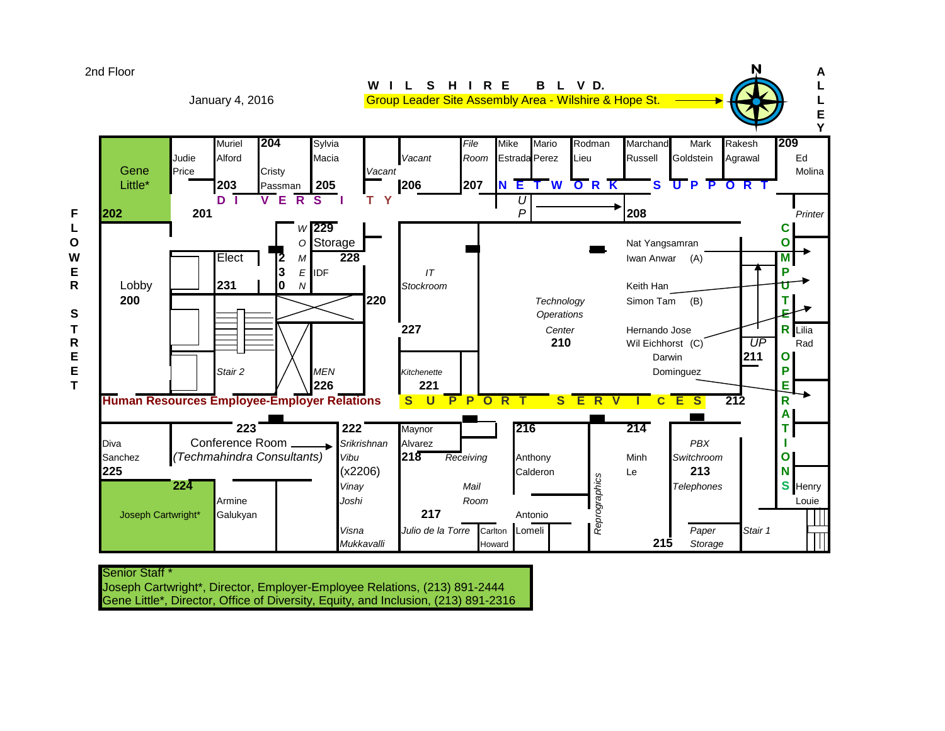



#### Senior Staff \*

Joseph Cartwright\*, Director, Employer-Employee Relations, (213) 891-2444 Gene Little\*, Director, Office of Diversity, Equity, and Inclusion, (213) 891-2316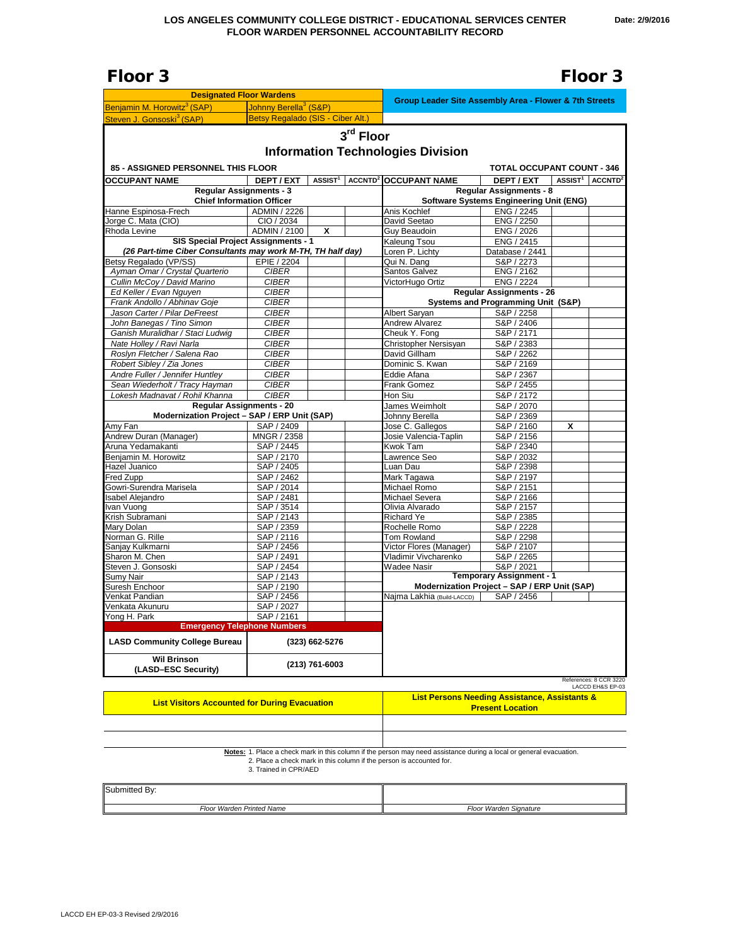| <b>List Visitors Accounted for During Evacuation</b>                                          | <b>List Persons Needing Assistance, Assistants &amp;</b><br><b>Present Location</b>                                 |
|-----------------------------------------------------------------------------------------------|---------------------------------------------------------------------------------------------------------------------|
|                                                                                               |                                                                                                                     |
|                                                                                               |                                                                                                                     |
| 2. Place a check mark in this column if the person is accounted for.<br>3. Trained in CPR/AED | Notes: 1. Place a check mark in this column if the person may need assistance during a local or general evacuation. |

| <b>I</b> Subm<br>nittea<br>BV |                                |
|-------------------------------|--------------------------------|
| Floor Warden Printed Name     | Warden<br>Floor<br>signature ו |

| <b>Floor 3</b>                                              |                                   |                     |                       |                                                                   |                                                | <b>Floor 3</b>      |                     |
|-------------------------------------------------------------|-----------------------------------|---------------------|-----------------------|-------------------------------------------------------------------|------------------------------------------------|---------------------|---------------------|
|                                                             | <b>Designated Floor Wardens</b>   |                     |                       | <b>Group Leader Site Assembly Area - Flower &amp; 7th Streets</b> |                                                |                     |                     |
| Benjamin M. Horowitz <sup>3</sup> (SAP)                     | Johnny Berella <sup>3</sup> (S&P) |                     |                       |                                                                   |                                                |                     |                     |
| Steven J. Gonsoski <sup>3</sup> (SAP)                       | Betsy Regalado (SIS - Ciber Alt.) |                     |                       |                                                                   |                                                |                     |                     |
|                                                             |                                   |                     | 3 <sup>rd</sup> Floor |                                                                   |                                                |                     |                     |
|                                                             |                                   |                     |                       |                                                                   |                                                |                     |                     |
|                                                             |                                   |                     |                       | <b>Information Technologies Division</b>                          |                                                |                     |                     |
| 85 - ASSIGNED PERSONNEL THIS FLOOR                          |                                   |                     |                       |                                                                   | <b>TOTAL OCCUPANT COUNT - 346</b>              |                     |                     |
| <b>OCCUPANT NAME</b>                                        | <b>DEPT / EXT</b>                 | ASSIST <sup>1</sup> |                       | <b>ACCNTD<sup>2</sup> OCCUPANT NAME</b>                           | DEPT / EXT                                     | ASSIST <sup>1</sup> | ACCNTD <sup>2</sup> |
|                                                             | <b>Regular Assignments - 3</b>    |                     |                       |                                                                   | <b>Regular Assignments - 8</b>                 |                     |                     |
|                                                             | <b>Chief Information Officer</b>  |                     |                       |                                                                   | <b>Software Systems Engineering Unit (ENG)</b> |                     |                     |
| Hanne Espinosa-Frech                                        | ADMIN / 2226                      |                     |                       | <b>Anis Kochlef</b>                                               | <b>ENG / 2245</b>                              |                     |                     |
| Jorge C. Mata (CIO)                                         | CIO / 2034                        |                     |                       | <b>David Seetao</b>                                               | ENG / 2250                                     |                     |                     |
| Rhoda Levine                                                | ADMIN / 2100                      | X                   |                       | <b>Guy Beaudoin</b>                                               | ENG / 2026                                     |                     |                     |
| <b>SIS Special Project Assignments - 1</b>                  |                                   |                     |                       | <b>Kaleung Tsou</b>                                               | ENG / 2415                                     |                     |                     |
| (26 Part-time Ciber Consultants may work M-TH, TH half day) |                                   |                     |                       | Loren P. Lichty                                                   | Database / 2441                                |                     |                     |
| Betsy Regalado (VP/SS)                                      | EPIE / 2204                       |                     |                       | Qui N. Dang                                                       | S&P / 2273                                     |                     |                     |
| Ayman Omar / Crystal Quarterio                              | <b>CIBER</b>                      |                     |                       | <b>Santos Galvez</b>                                              | ENG / 2162                                     |                     |                     |
| Cullin McCoy / David Marino                                 | <b>CIBER</b>                      |                     |                       | VictorHugo Ortiz                                                  | ENG / 2224                                     |                     |                     |
| Ed Keller / Evan Nguyen                                     | <b>CIBER</b>                      |                     |                       |                                                                   | <b>Regular Assignments - 26</b>                |                     |                     |
| Frank Andollo / Abhinav Goje                                | <b>CIBER</b>                      |                     |                       |                                                                   | <b>Systems and Programming Unit (S&amp;P)</b>  |                     |                     |
| Jason Carter / Pilar DeFreest                               | <b>CIBER</b>                      |                     |                       | <b>Albert Saryan</b>                                              | S&P / 2258                                     |                     |                     |
| John Banegas / Tino Simon                                   | <b>CIBER</b>                      |                     |                       | <b>Andrew Alvarez</b>                                             | S&P / 2406                                     |                     |                     |
| Ganish Muralidhar / Staci Ludwig                            | <b>CIBER</b>                      |                     |                       | Cheuk Y. Fong                                                     | S&P / 2171                                     |                     |                     |
| Nate Holley / Ravi Narla                                    | <b>CIBER</b>                      |                     |                       | Christopher Nersisyan                                             | S&P / 2383                                     |                     |                     |
| Roslyn Fletcher / Salena Rao                                | <b>CIBER</b>                      |                     |                       | David Gillham                                                     | S&P / 2262                                     |                     |                     |
| Robert Sibley / Zia Jones                                   | <b>CIBER</b>                      |                     |                       | Dominic S. Kwan                                                   | S&P / 2169                                     |                     |                     |
| Andre Fuller / Jennifer Huntley                             | <b>CIBER</b>                      |                     |                       | Eddie Afana                                                       | S&P / 2367                                     |                     |                     |
| Sean Wiederholt / Tracy Hayman                              | <b>CIBER</b>                      |                     |                       | <b>Frank Gomez</b>                                                | S&P / 2455                                     |                     |                     |
| Lokesh Madnavat / Rohil Khanna                              | <b>CIBER</b>                      |                     |                       | Hon Siu                                                           | S&P / 2172                                     |                     |                     |
|                                                             | <b>Regular Assignments - 20</b>   |                     |                       | James Weimholt                                                    | S&P / 2070                                     |                     |                     |
| Modernization Project - SAP / ERP Unit (SAP)                |                                   |                     |                       | Johnny Berella                                                    | S&P / 2369                                     |                     |                     |
| Amy Fan                                                     | SAP / 2409                        |                     |                       | Jose C. Gallegos                                                  | S&P / 2160                                     | X                   |                     |
| Andrew Duran (Manager)                                      | <b>MNGR / 2358</b>                |                     |                       | Josie Valencia-Taplin                                             | S&P / 2156                                     |                     |                     |
| Aruna Yedamakanti                                           | SAP / 2445                        |                     |                       | <b>Kwok Tam</b>                                                   | S&P / 2340                                     |                     |                     |
| Benjamin M. Horowitz                                        | SAP / 2170                        |                     |                       | Lawrence Seo                                                      | S&P / 2032                                     |                     |                     |
| Hazel Juanico                                               | SAP / 2405                        |                     |                       | Luan Dau                                                          | S&P / 2398                                     |                     |                     |
| Fred Zupp                                                   | SAP / 2462                        |                     |                       | Mark Tagawa                                                       | S&P / 2197                                     |                     |                     |
| Gowri-Surendra Marisela                                     | SAP / 2014                        |                     |                       | Michael Romo                                                      | S&P / 2151                                     |                     |                     |
| <b>Isabel Alejandro</b>                                     | SAP / 2481                        |                     |                       | <b>Michael Severa</b>                                             | S&P / 2166                                     |                     |                     |
| Ivan Vuong                                                  | SAP / 3514                        |                     |                       | Olivia Alvarado                                                   | S&P / 2157                                     |                     |                     |
| Krish Subramani                                             | SAP / 2143                        |                     |                       | <b>Richard Ye</b>                                                 | S&P / 2385                                     |                     |                     |
| Mary Dolan                                                  | SAP / 2359                        |                     |                       | Rochelle Romo                                                     | S&P / 2228                                     |                     |                     |
| Norman G. Rille                                             | SAP / 2116                        |                     |                       | Tom Rowland                                                       | S&P / 2298                                     |                     |                     |
| Sanjay Kulkmarni                                            | SAP / 2456                        |                     |                       | Victor Flores (Manager)                                           | S&P / 2107                                     |                     |                     |
| Sharon M. Chen                                              | SAP / 2491                        |                     |                       | Vladimir Vivcharenko                                              | S&P / 2265                                     |                     |                     |
| Steven J. Gonsoski                                          | SAP / 2454                        |                     |                       | <b>Wadee Nasir</b>                                                | S&P / 2021                                     |                     |                     |
| <b>Sumy Nair</b>                                            | SAP / 2143                        |                     |                       |                                                                   | <b>Temporary Assignment - 1</b>                |                     |                     |
| Suresh Enchoor                                              | SAP / 2190                        |                     |                       |                                                                   | Modernization Project - SAP / ERP Unit (SAP)   |                     |                     |
| Venkat Pandian                                              | SAP / 2456                        |                     |                       | Najma Lakhia (Build-LACCD)                                        | SAP / 2456                                     |                     |                     |
| Venkata Akunuru                                             | SAP / 2027                        |                     |                       |                                                                   |                                                |                     |                     |
| Yong H. Park                                                | SAP / 2161                        |                     |                       |                                                                   |                                                |                     |                     |

| <b>Emergency Telephone Numbers</b>                         |                  |  |
|------------------------------------------------------------|------------------|--|
| <b>LASD Community College Bureau</b><br>$(323) 662 - 5276$ |                  |  |
| <b>Wil Brinson</b><br>(LASD-ESC Security)                  | $(213)$ 761-6003 |  |
|                                                            |                  |  |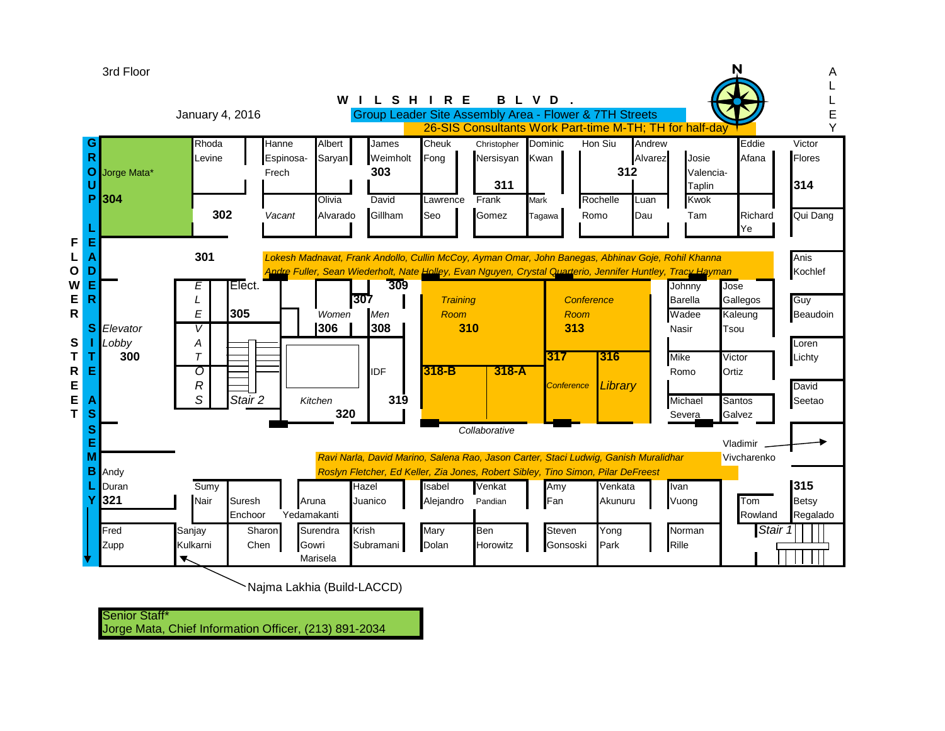

Jorge Mata, Chief Information Officer, (213) 891-2034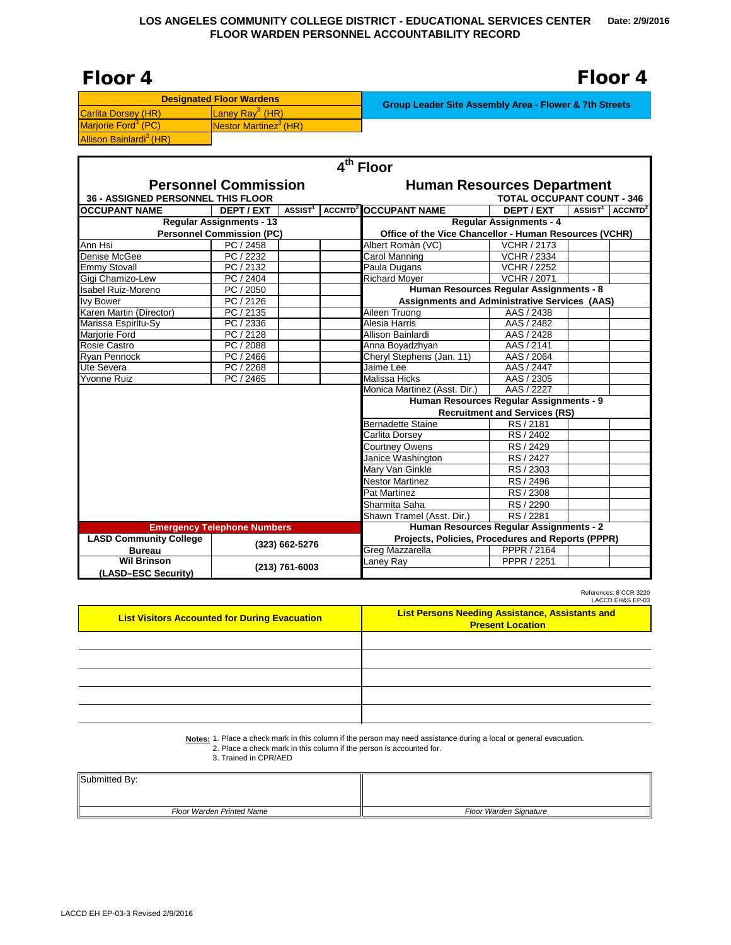## Floor 4

| <b>Designated Floor Wardens</b>                                 |                                          | <b>Group Leader Site Assembly Area - Flower &amp; 7th Streets</b> |  |
|-----------------------------------------------------------------|------------------------------------------|-------------------------------------------------------------------|--|
| <b>Laney Ray<sup>3</sup></b> (HR)<br><b>Carlita Dorsey (HR)</b> |                                          |                                                                   |  |
| Marjorie Ford <sup>3</sup> (PC)                                 | <b>Nestor Martinez</b> <sup>3</sup> (HR) |                                                                   |  |
| <b>Allison Bainlardi<sup>3</sup> (HR)</b>                       |                                          |                                                                   |  |

| $4th$ Floor                               |                                    |                              |                                   |                                                         |                                         |  |                                   |
|-------------------------------------------|------------------------------------|------------------------------|-----------------------------------|---------------------------------------------------------|-----------------------------------------|--|-----------------------------------|
| <b>Personnel Commission</b>               |                                    |                              |                                   | <b>Human Resources Department</b>                       |                                         |  |                                   |
| <b>36 - ASSIGNED PERSONNEL THIS FLOOR</b> |                                    |                              | <b>TOTAL OCCUPANT COUNT - 346</b> |                                                         |                                         |  |                                   |
| <b>OCCUPANT NAME</b>                      | DEPT / EXT                         |                              |                                   | ASSIST <sup>1</sup>   ACCNTD <sup>2</sup> OCCUPANT NAME | <b>DEPT / EXT</b>                       |  | $ASSIST1$ $ $ ACCNTD <sup>2</sup> |
|                                           | <b>Regular Assignments - 13</b>    |                              |                                   |                                                         | <b>Regular Assignments - 4</b>          |  |                                   |
|                                           | <b>Personnel Commission (PC)</b>   |                              |                                   | Office of the Vice Chancellor - Human Resources (VCHR)  |                                         |  |                                   |
| Ann Hsi                                   | PC / 2458                          |                              |                                   | Albert Román (VC)                                       | <b>VCHR / 2173</b>                      |  |                                   |
| <b>Denise McGee</b>                       | PC / 2232                          |                              |                                   | <b>Carol Manning</b>                                    | <b>VCHR / 2334</b>                      |  |                                   |
| <b>Emmy Stovall</b>                       | PC / 2132                          |                              |                                   | Paula Dugans                                            | <b>VCHR / 2252</b>                      |  |                                   |
| Gigi Chamizo-Lew                          | PC / 2404                          |                              |                                   | <b>Richard Moyer</b>                                    | <b>VCHR / 2071</b>                      |  |                                   |
| <b>Isabel Ruiz-Moreno</b>                 | PC / 2050                          |                              |                                   |                                                         | Human Resources Regular Assignments - 8 |  |                                   |
| <b>Ivy Bower</b>                          | PC / 2126                          |                              |                                   | <b>Assignments and Administrative Services (AAS)</b>    |                                         |  |                                   |
| Karen Martin (Director)                   | PC / 2135                          |                              |                                   | Aileen Truong                                           | AAS / 2438                              |  |                                   |
| Marissa Espiritu-Sy                       | PC / 2336                          |                              |                                   | Alesia Harris                                           | AAS / 2482                              |  |                                   |
| <b>Marjorie Ford</b>                      | PC / 2128                          |                              |                                   | Allison Bainlardi                                       | AAS / 2428                              |  |                                   |
| <b>Rosie Castro</b>                       | PC / 2088                          |                              |                                   | Anna Boyadzhyan                                         | AAS / 2141                              |  |                                   |
| <b>Ryan Pennock</b>                       | $\overline{PC}/2466$               |                              |                                   | Cheryl Stephens (Jan. 11)                               | AAS / 2064                              |  |                                   |
| <b>Ute Severa</b>                         | PC / 2268                          |                              |                                   | Jaime Lee                                               | AAS / 2447                              |  |                                   |
| <b>Yvonne Ruiz</b>                        | PC / 2465                          |                              |                                   | <b>Malissa Hicks</b>                                    | AAS / 2305                              |  |                                   |
|                                           |                                    | Monica Martinez (Asst. Dir.) | AAS / 2227                        |                                                         |                                         |  |                                   |
|                                           |                                    |                              |                                   |                                                         | Human Resources Regular Assignments - 9 |  |                                   |
|                                           |                                    |                              |                                   |                                                         | <b>Recruitment and Services (RS)</b>    |  |                                   |
|                                           |                                    |                              |                                   | <b>Bernadette Staine</b>                                | RS / 2181                               |  |                                   |
|                                           |                                    |                              |                                   | <b>Carlita Dorsey</b>                                   | RS / 2402                               |  |                                   |
|                                           |                                    |                              |                                   | <b>Courtney Owens</b>                                   | RS / 2429                               |  |                                   |
|                                           |                                    |                              |                                   | Janice Washington                                       | RS / 2427                               |  |                                   |
|                                           |                                    |                              |                                   | Mary Van Ginkle                                         | RS / 2303                               |  |                                   |
|                                           |                                    |                              |                                   | <b>Nestor Martinez</b>                                  | RS / 2496                               |  |                                   |
|                                           |                                    |                              |                                   | <b>Pat Martinez</b>                                     | RS / 2308                               |  |                                   |
|                                           |                                    |                              |                                   | Sharmita Saha                                           | RS / 2290                               |  |                                   |
|                                           |                                    |                              |                                   | Shawn Tramel (Asst. Dir.)                               | RS / 2281                               |  |                                   |
|                                           | <b>Emergency Telephone Numbers</b> |                              |                                   |                                                         | Human Resources Regular Assignments - 2 |  |                                   |
| <b>LASD Community College</b>             |                                    |                              |                                   | Projects, Policies, Procedures and Reports (PPPR)       |                                         |  |                                   |
| <b>Bureau</b>                             |                                    | (323) 662-5276               |                                   | Greg Mazzarella                                         | <b>PPPR / 2164</b>                      |  |                                   |
| <b>Wil Brinson</b>                        |                                    | $(213) 761 - 6003$           |                                   | Laney Ray                                               | <b>PPPR / 2251</b>                      |  |                                   |
| (LASD-ESC Security)                       |                                    |                              |                                   |                                                         |                                         |  |                                   |

3. Trained in CPR/AED

1. Place a check mark in this column if the person may need assistance during a local or general evacuation. 2. Place a check mark in this column if the person is accounted for. **Notes:**

| Submitted By:                    |                               |
|----------------------------------|-------------------------------|
| <b>Floor Warden Printed Name</b> | <b>Floor Warden Signature</b> |

|                                                      | LAUUD ENQO EF-UJ                                                                  |
|------------------------------------------------------|-----------------------------------------------------------------------------------|
| <b>List Visitors Accounted for During Evacuation</b> | <b>List Persons Needing Assistance, Assistants and</b><br><b>Present Location</b> |
|                                                      |                                                                                   |
|                                                      |                                                                                   |
|                                                      |                                                                                   |

References: 8 CCR 3220 LACCD EH&S EP-03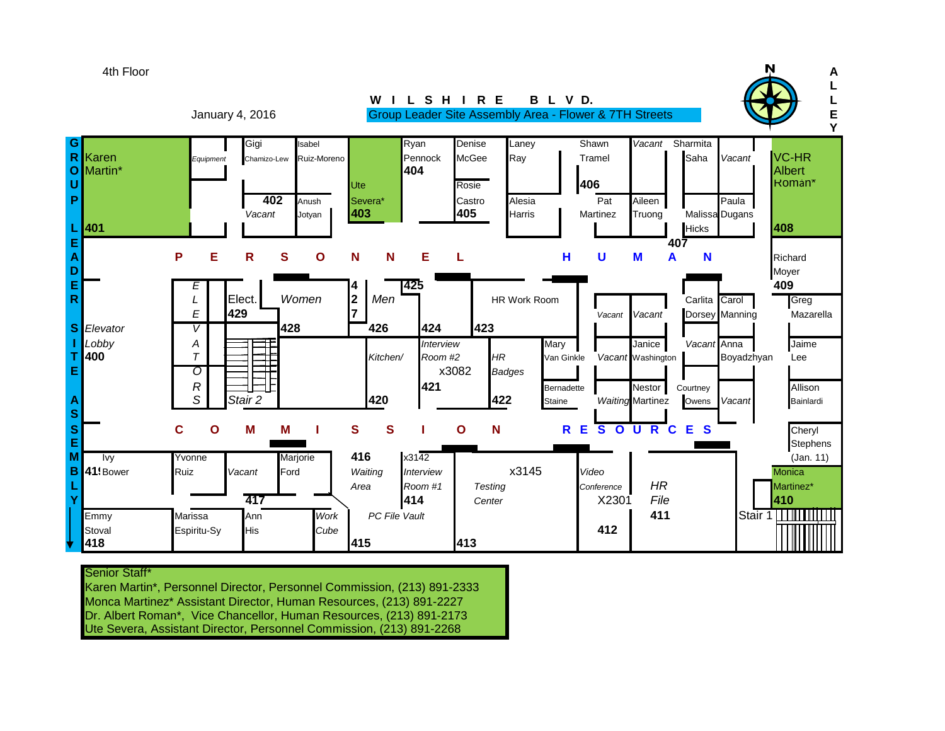

**L**

**Y**

#### Senior Staff\*

**S**

Karen Martin\*, Personnel Director, Personnel Commission, (213) 891-2333 Monca Martinez\* Assistant Director, Human Resources, (213) 891-2227 Dr. Albert Roman\*, Vice Chancellor, Human Resources, (213) 891-2173 Ute Severa, Assistant Director, Personnel Commission, (213) 891-2268

**418 415 413**

Stoval Espiritu-Sy His *Cube* **412**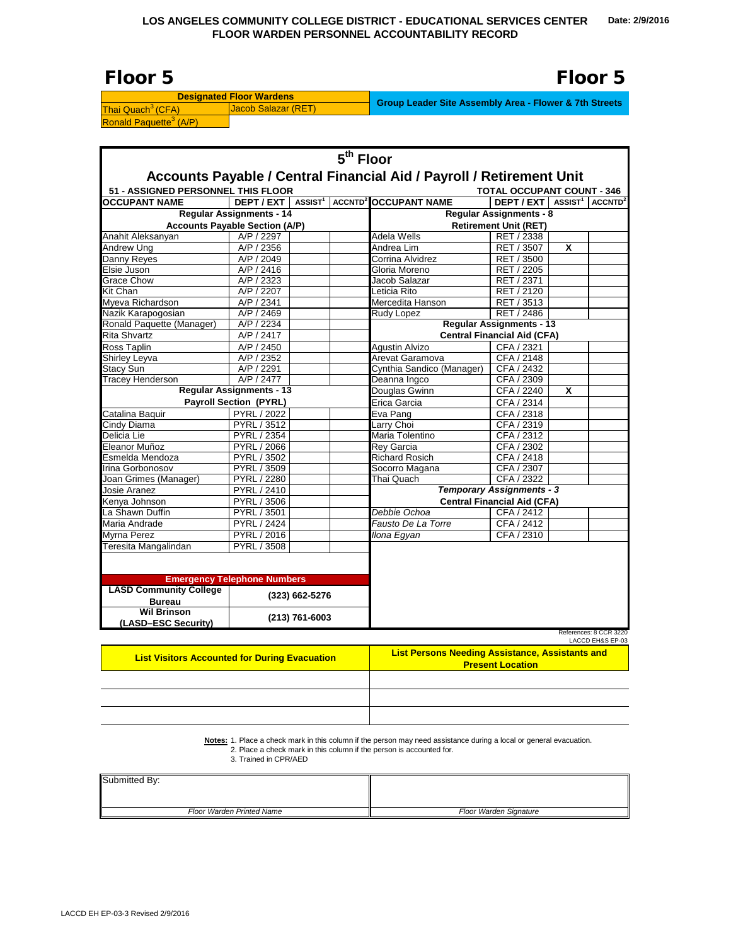### Floor 5

| <b>Designated Floor Wardens</b>    |                            |                                                                   |
|------------------------------------|----------------------------|-------------------------------------------------------------------|
| Thai Quach <sup>3</sup> (CFA)      | <b>Jacob Salazar (RET)</b> | <b>Group Leader Site Assembly Area - Flower &amp; 7th Streets</b> |
| Ronald Paquette <sup>3</sup> (A/P) |                            |                                                                   |

| 5 <sup>th</sup> Floor              |                                          |  |                                                                      |                                    |                     |                        |
|------------------------------------|------------------------------------------|--|----------------------------------------------------------------------|------------------------------------|---------------------|------------------------|
|                                    |                                          |  | Accounts Payable / Central Financial Aid / Payroll / Retirement Unit |                                    |                     |                        |
| 51 - ASSIGNED PERSONNEL THIS FLOOR |                                          |  |                                                                      | <b>TOTAL OCCUPANT COUNT - 346</b>  |                     |                        |
| <b>OCCUPANT NAME</b>               | ASSIST <sup>1</sup><br><b>DEPT / EXT</b> |  | <b>ACCNTD<sup>2</sup> OCCUPANT NAME</b>                              | DEPT / EXT                         | ASSIST <sup>1</sup> | ACCNTD <sup>2</sup>    |
|                                    | <b>Regular Assignments - 14</b>          |  |                                                                      | <b>Regular Assignments - 8</b>     |                     |                        |
|                                    | <b>Accounts Payable Section (A/P)</b>    |  |                                                                      | <b>Retirement Unit (RET)</b>       |                     |                        |
| Anahit Aleksanyan                  | A/P / 2297                               |  | Adela Wells                                                          | RET / 2338                         |                     |                        |
| <b>Andrew Ung</b>                  | A/P / 2356                               |  | Andrea Lim                                                           | RET / 3507                         | X                   |                        |
| Danny Reyes                        | A/P / 2049                               |  | Corrina Alvidrez                                                     | RET / 3500                         |                     |                        |
| <b>Elsie Juson</b>                 | A/P / 2416                               |  | Gloria Moreno                                                        | RET / 2205                         |                     |                        |
| <b>Grace Chow</b>                  | A/P / 2323                               |  | Jacob Salazar                                                        | RET / 2371                         |                     |                        |
| <b>Kit Chan</b>                    | A/P / 2207                               |  | Leticia Rito                                                         | RET / 2120                         |                     |                        |
| Myeva Richardson                   | $\overline{A/P}$ / 2341                  |  | Mercedita Hanson                                                     | RET / 3513                         |                     |                        |
| Nazik Karapogosian                 | A/P / 2469                               |  | <b>Rudy Lopez</b>                                                    | <b>RET</b> / 2486                  |                     |                        |
| Ronald Paquette (Manager)          | A/P / 2234                               |  |                                                                      | <b>Regular Assignments - 13</b>    |                     |                        |
| <b>Rita Shvartz</b>                | A/P / 2417                               |  |                                                                      | <b>Central Financial Aid (CFA)</b> |                     |                        |
| <b>Ross Taplin</b>                 | A/P / 2450                               |  | <b>Agustin Alvizo</b>                                                | CFA / 2321                         |                     |                        |
| <b>Shirley Leyva</b>               | A/P / 2352                               |  | <b>Arevat Garamova</b>                                               | CFA / 2148                         |                     |                        |
| <b>Stacy Sun</b>                   | A/P / 2291                               |  | Cynthia Sandico (Manager)                                            | CFA / 2432                         |                     |                        |
| <b>Tracey Henderson</b>            | A/P / 2477                               |  | Deanna Ingco                                                         | CFA / 2309                         |                     |                        |
|                                    | <b>Regular Assignments - 13</b>          |  | Douglas Gwinn                                                        | CFA / 2240                         | $\boldsymbol{X}$    |                        |
|                                    | <b>Payroll Section (PYRL)</b>            |  | Erica Garcia                                                         | CFA / 2314                         |                     |                        |
| Catalina Baquir                    | <b>PYRL / 2022</b>                       |  | Eva Pang                                                             | CFA / 2318                         |                     |                        |
| Cindy Diama                        | PYRL / 3512                              |  | Larry Choi                                                           | CFA / 2319                         |                     |                        |
| Delicia Lie                        | PYRL / 2354                              |  | <b>Maria Tolentino</b>                                               | CFA / 2312                         |                     |                        |
| <b>Eleanor Muñoz</b>               | PYRL / 2066                              |  | Rey Garcia                                                           | CFA / 2302                         |                     |                        |
| Esmelda Mendoza                    | PYRL / 3502                              |  | <b>Richard Rosich</b>                                                | CFA / 2418                         |                     |                        |
| <b>Irina Gorbonosov</b>            | PYRL / 3509                              |  | Socorro Magana                                                       | CFA / 2307                         |                     |                        |
| Joan Grimes (Manager)              | PYRL / 2280                              |  | Thai Quach                                                           | CFA / 2322                         |                     |                        |
| <b>Josie Aranez</b>                | <b>PYRL / 2410</b>                       |  |                                                                      | Temporary Assignments - 3          |                     |                        |
| Kenya Johnson                      | PYRL / 3506                              |  |                                                                      | <b>Central Financial Aid (CFA)</b> |                     |                        |
| La Shawn Duffin                    | PYRL / 3501                              |  | Debbie Ochoa                                                         | CFA / 2412                         |                     |                        |
| <b>Maria Andrade</b>               | <b>PYRL / 2424</b>                       |  | Fausto De La Torre                                                   | CFA / 2412                         |                     |                        |
| <b>Myrna Perez</b>                 | PYRL / 2016                              |  | Tlona Egyan                                                          | CFA / 2310                         |                     |                        |
| Teresita Mangalindan               | <b>PYRL / 3508</b>                       |  |                                                                      |                                    |                     |                        |
|                                    |                                          |  |                                                                      |                                    |                     |                        |
|                                    |                                          |  |                                                                      |                                    |                     |                        |
|                                    | <b>Emergency Telephone Numbers</b>       |  |                                                                      |                                    |                     |                        |
| <b>LASD Community College</b>      | $(323)$ 662-5276                         |  |                                                                      |                                    |                     |                        |
| <b>Bureau</b>                      |                                          |  |                                                                      |                                    |                     |                        |
| <b>Wil Brinson</b>                 | $(213) 761 - 6003$                       |  |                                                                      |                                    |                     |                        |
| (LASD-ESC Security)                |                                          |  |                                                                      |                                    |                     |                        |
|                                    |                                          |  |                                                                      |                                    |                     | References: 8 CCR 3220 |

2. Place a check mark in this column if the person is accounted for.

3. Trained in CPR/AED

1. Place a check mark in this column if the person may need assistance during a local or general evacuation. **Notes:**

| Submitted By:                    |                        |
|----------------------------------|------------------------|
| <b>Floor Warden Printed Name</b> |                        |
|                                  | Floor Warden Signature |

LACCD EH&S EP-03

| <b>List Visitors Accounted for During Evacuation</b> | <b>List Persons Needing Assistance, Assistants and</b><br><b>Present Location</b> |
|------------------------------------------------------|-----------------------------------------------------------------------------------|
|                                                      |                                                                                   |

| the contract of the contract of the contract of the contract of the contract of the contract of                         |  |
|-------------------------------------------------------------------------------------------------------------------------|--|
| <u> The Communication of the Communication of the Communication of the Communication of the Communication of the Co</u> |  |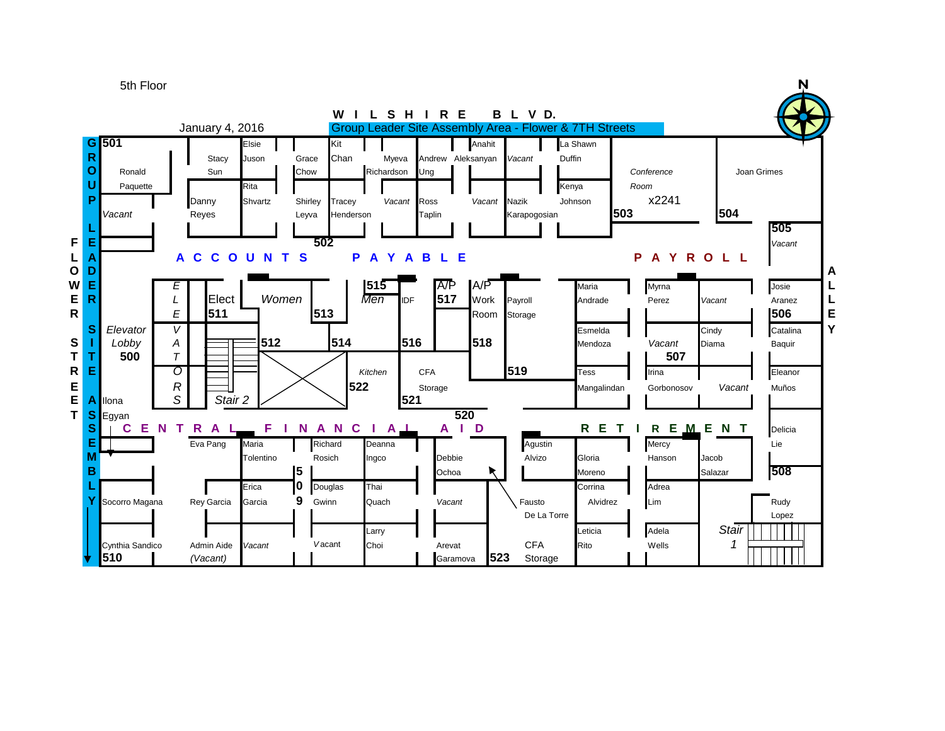5th Floor **W I L S H I R E B L V D.** Group Leader Site Assembly Area - Flower & 7TH Streets **G** 501 **Elsie Kit Kit Anahit La Shawn R** Stacy Juson Grace Chan Myeva Andrew Aleksanyan *Vacant* Duffin<br> **O** Ronald Sun **Chow** Richardson Ung **II O** Ronald Sun Chow Richardson Ung *Conference* Joan Grimes **U** Paquette Rita **Rita** Room **P** Danny Shvartz Shirley Tracey *Vacant* Ross *Vacant* Nazik Johnson x2241 *Vacant* Reyes Leyva Henderson Taplin Karapogosian **503 504 L 505 F E 502** *Vacant* **L A A C C O U N T S P A Y A B L E P A Y R O L L O D A W E** *E* **515** A/P A/P Maria Myrna Josie **L E R** *L* Elect *Women Men* IDF **517** Work Payroll Andrade Perez *Vacant* Aranez **L R** *E* **511 513** Room Storage **506 E S** *Elevator V* Catalina **Y Elevator** *V* Catalina **Y S I** *Lobby A* **512 514 516 518** Mendoza *Vacant* Diama Baquir **T T 500** *T* **507 R E** *O Kitchen* CFA **519** Tess Irina Eleanor **E** *R* **522** Storage Mangalindan Gorbonosov *Vacant* Muños **E A** Ilona *S Stair 2* **521 T S** Egyan **520** INANCIAL AID RETIREMENT Delicia **E** Eva Pang Maria Richard Deanna **Agustin Agustin** Mercy **Network** Lie **M** Tolentino Rosich Ingco Debbie Alvizo Gloria Hanson Jacob **B Example 1** Salazar **5** Ochoa **Moreno II** Moreno II Salazar 1 508 **L Corring Corring Corrina** Erica **0** Douglas Thai **Corrina Corrina Adrea Y** Socorro Magana Rey Garcia Garcia **9** Gwinn Quach *Vacant* Fausto Alvidrez Lim Rudy De La Torre de la contradicte de la contradicte de la contradicte de la contradicte de la contradicte de la contradicte de la contradicte de la contradicte de la contradicte de la contradicte de la contradicte de la contra Larry Leticia Adela *Stair* Cynthia Sandico Admin Aide *Vacant <sup>V</sup>* acant Choi Arevat CFA Rito Wells *1* **510** *(Vacant)* Garamova **523** Storage January 4, 2016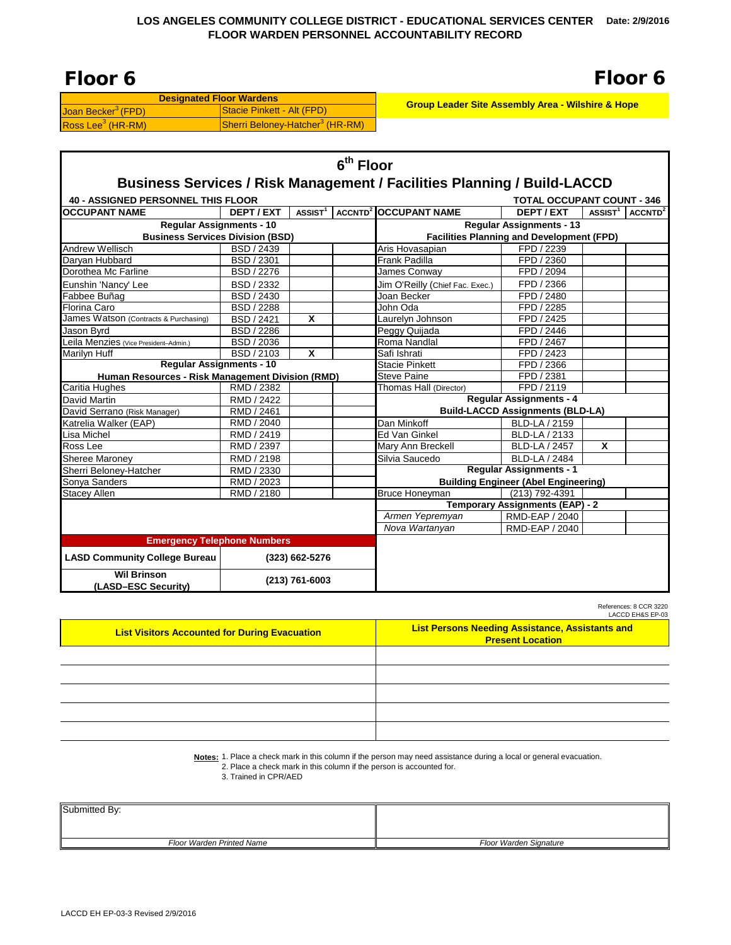# Floor 6

References: 8 CCR 3220  $LACCD$  ELIAC EP

| <b>Designated Floor Wardens</b> |                                             |
|---------------------------------|---------------------------------------------|
| Joan Becker <sup>3</sup> (FPD)  | Stacie Pinkett - Alt (FPD)                  |
| Ross Lee <sup>3</sup> (HR-RM)   | Sherri Beloney-Hatcher <sup>3</sup> (HR-RM) |

**Group Leader Site Assembly Area - Wilshire & Hope** 

| 6 <sup>th</sup> Floor                                                          |                   |                     |                       |                                                  |                                             |                     |                     |
|--------------------------------------------------------------------------------|-------------------|---------------------|-----------------------|--------------------------------------------------|---------------------------------------------|---------------------|---------------------|
| <b>Business Services / Risk Management / Facilities Planning / Build-LACCD</b> |                   |                     |                       |                                                  |                                             |                     |                     |
| <b>40 - ASSIGNED PERSONNEL THIS FLOOR</b>                                      |                   |                     |                       |                                                  | <b>TOTAL OCCUPANT COUNT - 346</b>           |                     |                     |
| <b>OCCUPANT NAME</b>                                                           | DEPT/EXT          | ASSIST <sup>1</sup> |                       | <b>ACCNTD<sup>2</sup> OCCUPANT NAME</b>          | <b>DEPT/EXT</b>                             | ASSIST <sup>1</sup> | ACCNTD <sup>2</sup> |
| <b>Regular Assignments - 10</b>                                                |                   |                     |                       |                                                  | <b>Regular Assignments - 13</b>             |                     |                     |
| <b>Business Services Division (BSD)</b>                                        |                   |                     |                       | <b>Facilities Planning and Development (FPD)</b> |                                             |                     |                     |
| <b>Andrew Wellisch</b>                                                         | <b>BSD / 2439</b> |                     |                       | Aris Hovasapian                                  | FPD / 2239                                  |                     |                     |
| Daryan Hubbard                                                                 | BSD / 2301        |                     |                       | <b>Frank Padilla</b>                             | FPD / 2360                                  |                     |                     |
| Dorothea Mc Farline                                                            | <b>BSD / 2276</b> |                     |                       | James Conway                                     | FPD / 2094                                  |                     |                     |
| Eunshin 'Nancy' Lee                                                            | BSD / 2332        |                     |                       | Jim O'Reilly (Chief Fac. Exec.)                  | FPD / 2366                                  |                     |                     |
| Fabbee Buñag                                                                   | <b>BSD / 2430</b> |                     |                       | Joan Becker                                      | FPD / 2480                                  |                     |                     |
| <b>Florina Caro</b>                                                            | <b>BSD / 2288</b> |                     |                       | John Oda                                         | FPD / 2285                                  |                     |                     |
| James Watson (Contracts & Purchasing)                                          | <b>BSD / 2421</b> | X                   |                       | Laurelyn Johnson                                 | FPD / 2425                                  |                     |                     |
| Jason Byrd                                                                     | <b>BSD / 2286</b> |                     |                       | Peggy Quijada                                    | FPD / 2446                                  |                     |                     |
| Leila Menzies (Vice President-Admin.)                                          | <b>BSD / 2036</b> |                     |                       | Roma Nandlal                                     | FPD / 2467                                  |                     |                     |
| <b>Marilyn Huff</b>                                                            | BSD / 2103        | $\boldsymbol{X}$    |                       | Safi Ishrati                                     | FPD / 2423                                  |                     |                     |
| <b>Regular Assignments - 10</b>                                                |                   |                     | <b>Stacie Pinkett</b> | FPD / 2366                                       |                                             |                     |                     |
| Human Resources - Risk Management Division (RMD)                               |                   |                     |                       | <b>Steve Paine</b>                               | FPD / 2381                                  |                     |                     |
| Caritia Hughes                                                                 | RMD / 2382        |                     |                       | Thomas Hall (Director)                           | FPD / 2119                                  |                     |                     |
| <b>David Martin</b>                                                            | RMD / 2422        |                     |                       |                                                  | <b>Regular Assignments - 4</b>              |                     |                     |
| David Serrano (Risk Manager)                                                   | RMD / 2461        |                     |                       | <b>Build-LACCD Assignments (BLD-LA)</b>          |                                             |                     |                     |
| Katrelia Walker (EAP)                                                          | RMD / 2040        |                     |                       | Dan Minkoff                                      | <b>BLD-LA / 2159</b>                        |                     |                     |
| Lisa Michel                                                                    | RMD / 2419        |                     |                       | <b>Ed Van Ginkel</b>                             | <b>BLD-LA / 2133</b>                        |                     |                     |
| Ross Lee                                                                       | RMD / 2397        |                     |                       | Mary Ann Breckell                                | <b>BLD-LA / 2457</b>                        | X                   |                     |
| <b>Sheree Maroney</b>                                                          | RMD / 2198        |                     |                       | Silvia Saucedo                                   | <b>BLD-LA / 2484</b>                        |                     |                     |
| Sherri Beloney-Hatcher                                                         | RMD / 2330        |                     |                       |                                                  | <b>Regular Assignments - 1</b>              |                     |                     |
| Sonya Sanders                                                                  | RMD / 2023        |                     |                       |                                                  | <b>Building Engineer (Abel Engineering)</b> |                     |                     |
| <b>Stacey Allen</b>                                                            | RMD / 2180        |                     |                       | <b>Bruce Honeyman</b>                            | (213) 792-4391                              |                     |                     |
|                                                                                |                   |                     |                       |                                                  | <b>Temporary Assignments (EAP) - 2</b>      |                     |                     |
|                                                                                |                   |                     |                       | Armen Yepremyan                                  | RMD-EAP / 2040                              |                     |                     |
|                                                                                |                   |                     |                       | Nova Wartanyan                                   | RMD-EAP / 2040                              |                     |                     |
| <b>Emergency Telephone Numbers</b>                                             |                   |                     |                       |                                                  |                                             |                     |                     |
| <b>LASD Community College Bureau</b>                                           |                   | $(323)$ 662-5276    |                       |                                                  |                                             |                     |                     |
| <b>Wil Brinson</b><br>(LASD-ESC Security)                                      |                   | $(213) 761 - 6003$  |                       |                                                  |                                             |                     |                     |

2. Place a check mark in this column if the person is accounted for.

3. Trained in CPR/AED

1. Place a check mark in this column if the person may need assistance during a local or general evacuation. **Notes:**

| Submitted By:                    |                               |
|----------------------------------|-------------------------------|
|                                  |                               |
| <b>Floor Warden Printed Name</b> | <b>Floor Warden Signature</b> |

|                                                      | LAUUD EH&S EP-03                                                                  |
|------------------------------------------------------|-----------------------------------------------------------------------------------|
| <b>List Visitors Accounted for During Evacuation</b> | <b>List Persons Needing Assistance, Assistants and</b><br><b>Present Location</b> |
|                                                      |                                                                                   |
|                                                      |                                                                                   |
|                                                      |                                                                                   |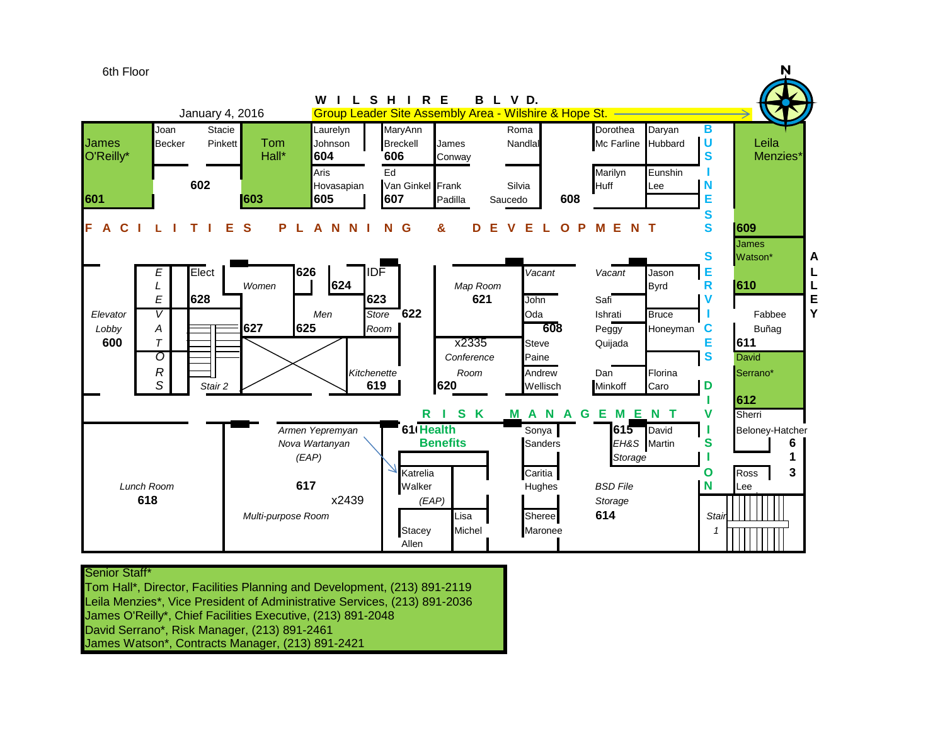



#### Senior Staff\*

Tom Hall\*, Director, Facilities Planning and Development, (213) 891-2119 Leila Menzies\*, Vice President of Administrative Services, (213) 891-2036 James O'Reilly\*, Chief Facilities Executive, (213) 891-2048 David Serrano\*, Risk Manager, (213) 891-2461 James Watson\*, Contracts Manager, (213) 891-2421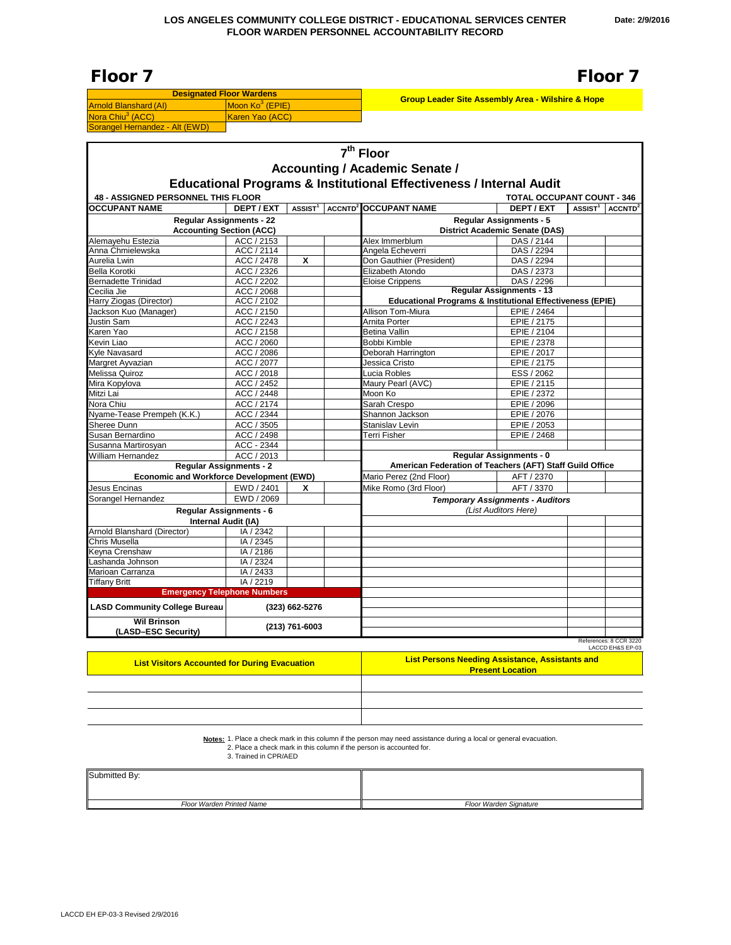# Floor 7

| <b>Designated Floor Wardens</b> |                                         |  |
|---------------------------------|-----------------------------------------|--|
| <b>Arnold Blanshard (AI)</b>    | $M$ <sub>0</sub> Ko <sup>3</sup> (EPIE) |  |
| Nora Chiu <sup>3</sup> (ACC)    | Karen Yao (ACC)                         |  |
| Sorangel Hernandez - Alt (EWD)  |                                         |  |

**Broup Leader Site Assembly Area - Wilshire & Hope** 

|                                                                                |            |                                                                            |                                       | 7 <sup>th</sup> Floor                                                |                                 |                     |                        |
|--------------------------------------------------------------------------------|------------|----------------------------------------------------------------------------|---------------------------------------|----------------------------------------------------------------------|---------------------------------|---------------------|------------------------|
| <b>Accounting / Academic Senate /</b>                                          |            |                                                                            |                                       |                                                                      |                                 |                     |                        |
| <b>Educational Programs &amp; Institutional Effectiveness / Internal Audit</b> |            |                                                                            |                                       |                                                                      |                                 |                     |                        |
| <b>48 - ASSIGNED PERSONNEL THIS FLOOR</b><br><b>TOTAL OCCUPANT COUNT - 346</b> |            |                                                                            |                                       |                                                                      |                                 |                     |                        |
| <b>OCCUPANT NAME</b>                                                           | DEPT/EXT   | ASSIST <sup>1</sup>                                                        |                                       | <b>ACCNTD<sup>2</sup> OCCUPANT NAME</b>                              | <b>DEPT/EXT</b>                 | ASSIST <sup>1</sup> | ACCNTD <sup>2</sup>    |
| <b>Regular Assignments - 22</b>                                                |            |                                                                            |                                       |                                                                      | <b>Regular Assignments - 5</b>  |                     |                        |
| <b>Accounting Section (ACC)</b>                                                |            |                                                                            | <b>District Academic Senate (DAS)</b> |                                                                      |                                 |                     |                        |
| Alemayehu Estezia                                                              | ACC / 2153 |                                                                            |                                       | Alex Immerblum                                                       | DAS / 2144                      |                     |                        |
| Anna Chmielewska                                                               | ACC / 2114 |                                                                            |                                       | Angela Echeverri                                                     | DAS / 2294                      |                     |                        |
| Aurelia Lwin                                                                   | ACC / 2478 | $\boldsymbol{\mathsf{X}}$                                                  |                                       | Don Gauthier (President)                                             | DAS / 2294                      |                     |                        |
| <b>Bella Korotki</b>                                                           | ACC / 2326 |                                                                            |                                       | Elizabeth Atondo                                                     | DAS / 2373                      |                     |                        |
| <b>Bernadette Trinidad</b>                                                     | ACC / 2202 |                                                                            |                                       | <b>Eloise Crippens</b>                                               | DAS / 2296                      |                     |                        |
| Cecilia Jie                                                                    | ACC / 2068 |                                                                            |                                       |                                                                      | <b>Regular Assignments - 13</b> |                     |                        |
| Harry Ziogas (Director)                                                        | ACC / 2102 |                                                                            |                                       | <b>Educational Programs &amp; Institutional Effectiveness (EPIE)</b> |                                 |                     |                        |
| Jackson Kuo (Manager)                                                          | ACC / 2150 |                                                                            |                                       | <b>Allison Tom-Miura</b>                                             | EPIE / 2464                     |                     |                        |
| <b>Justin Sam</b>                                                              | ACC / 2243 |                                                                            |                                       | <b>Arnita Porter</b>                                                 | EPIE / 2175                     |                     |                        |
| Karen Yao                                                                      | ACC / 2158 |                                                                            |                                       | <b>Betina Vallin</b>                                                 | EPIE / 2104                     |                     |                        |
| Kevin Liao                                                                     | ACC / 2060 |                                                                            |                                       | <b>Bobbi Kimble</b>                                                  | EPIE / 2378                     |                     |                        |
| <b>Kyle Navasard</b>                                                           | ACC / 2086 |                                                                            |                                       | Deborah Harrington                                                   | EPIE / 2017                     |                     |                        |
| Margret Ayvazian                                                               | ACC / 2077 |                                                                            |                                       | Jessica Cristo                                                       | EPIE / 2175                     |                     |                        |
| <b>Melissa Quiroz</b>                                                          | ACC / 2018 |                                                                            |                                       | Lucia Robles                                                         | ESS / 2062                      |                     |                        |
| Mira Kopylova                                                                  | ACC / 2452 |                                                                            |                                       | Maury Pearl (AVC)                                                    | EPIE / 2115                     |                     |                        |
| Mitzi Lai                                                                      | ACC / 2448 |                                                                            |                                       | Moon Ko                                                              | EPIE / 2372                     |                     |                        |
| Nora Chiu                                                                      | ACC / 2174 |                                                                            |                                       | Sarah Crespo                                                         | EPIE / 2096                     |                     |                        |
| Nyame-Tease Prempeh (K.K.)                                                     | ACC / 2344 |                                                                            |                                       | Shannon Jackson                                                      | EPIE / 2076                     |                     |                        |
| <b>Sheree Dunn</b>                                                             | ACC / 3505 |                                                                            |                                       | <b>Stanislav Levin</b>                                               | EPIE / 2053                     |                     |                        |
| Susan Bernardino                                                               | ACC / 2498 |                                                                            |                                       | Terri Fisher                                                         | EPIE / 2468                     |                     |                        |
| Susanna Martirosyan                                                            | ACC - 2344 |                                                                            |                                       |                                                                      |                                 |                     |                        |
| William Hernandez                                                              | ACC / 2013 |                                                                            |                                       |                                                                      | <b>Regular Assignments - 0</b>  |                     |                        |
| <b>Regular Assignments - 2</b>                                                 |            |                                                                            |                                       | American Federation of Teachers (AFT) Staff Guild Office             |                                 |                     |                        |
| <b>Economic and Workforce Development (EWD)</b>                                |            |                                                                            |                                       | Mario Perez (2nd Floor)                                              | AFT / 2370                      |                     |                        |
| Jesus Encinas                                                                  | EWD / 2401 | X                                                                          |                                       | Mike Romo (3rd Floor)                                                | AFT / 3370                      |                     |                        |
| Sorangel Hernandez                                                             | EWD / 2069 |                                                                            |                                       | <b>Temporary Assignments - Auditors</b>                              |                                 |                     |                        |
| <b>Regular Assignments - 6</b>                                                 |            |                                                                            |                                       | (List Auditors Here)                                                 |                                 |                     |                        |
| <b>Internal Audit (IA)</b>                                                     |            |                                                                            |                                       |                                                                      |                                 |                     |                        |
| <b>Arnold Blanshard (Director)</b>                                             | IA / 2342  |                                                                            |                                       |                                                                      |                                 |                     |                        |
| Chris Musella                                                                  | IA / 2345  |                                                                            |                                       |                                                                      |                                 |                     |                        |
| Keyna Crenshaw                                                                 | IA / 2186  |                                                                            |                                       |                                                                      |                                 |                     |                        |
| ashanda Johnson                                                                | IA / 2324  |                                                                            |                                       |                                                                      |                                 |                     |                        |
| <b>Marioan Carranza</b>                                                        | IA / 2433  |                                                                            |                                       |                                                                      |                                 |                     |                        |
| <b>Tiffany Britt</b>                                                           | IA / 2219  |                                                                            |                                       |                                                                      |                                 |                     |                        |
| <b>Emergency Telephone Numbers</b>                                             |            |                                                                            |                                       |                                                                      |                                 |                     |                        |
| <b>LASD Community College Bureau</b>                                           |            | $(323)$ 662-5276                                                           |                                       |                                                                      |                                 |                     |                        |
| <b>Wil Brinson</b>                                                             |            |                                                                            |                                       |                                                                      |                                 |                     |                        |
| (LASD-ESC Security)                                                            |            | $(213) 761 - 6003$                                                         |                                       |                                                                      |                                 |                     |                        |
|                                                                                |            |                                                                            |                                       |                                                                      |                                 |                     | References: 8 CCR 3220 |
| <b>List Visitors Accounted for During Evacuation</b>                           |            | LACCD EH&S EP-03<br><b>List Persons Needing Assistance, Assistants and</b> |                                       |                                                                      |                                 |                     |                        |
|                                                                                |            |                                                                            |                                       | <b>Present Location</b>                                              |                                 |                     |                        |
|                                                                                |            |                                                                            |                                       |                                                                      |                                 |                     |                        |
|                                                                                |            |                                                                            |                                       |                                                                      |                                 |                     |                        |
|                                                                                |            |                                                                            |                                       |                                                                      |                                 |                     |                        |

2. Place a check mark in this column if the person is accounted for.

3. Trained in CPR/AED

1. Place a check mark in this column if the person may need assistance during a local or general evacuation. **Notes:**

| Submitted By:                    |                               |
|----------------------------------|-------------------------------|
|                                  |                               |
| <b>Floor Warden Printed Name</b> | <b>Floor Warden Signature</b> |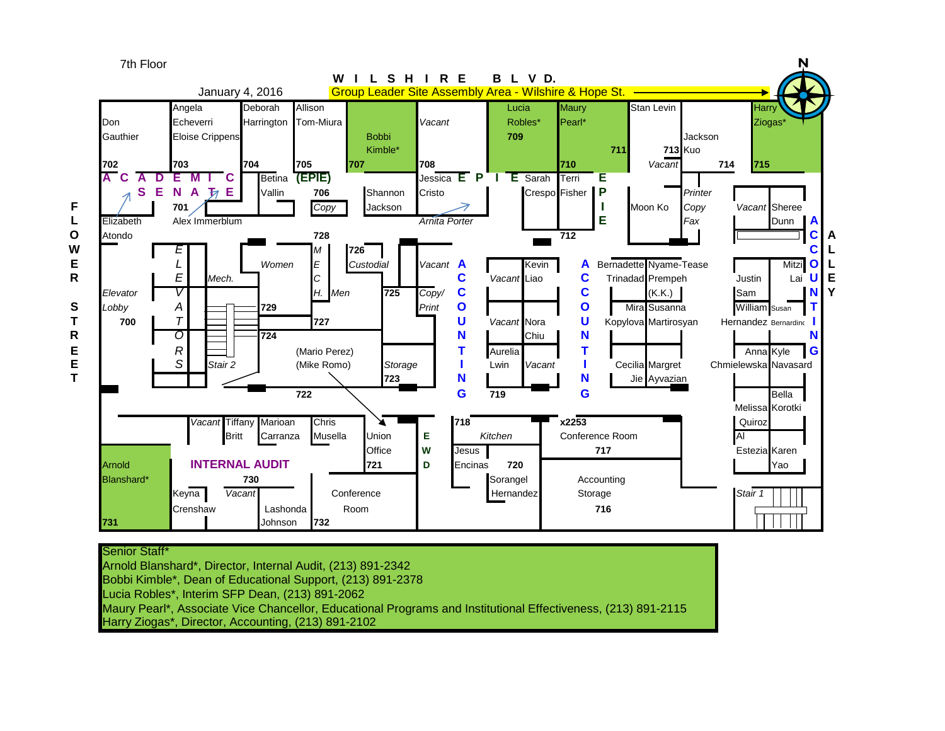

Arnold Blanshard\*, Director, Internal Audit, (213) 891-2342 Bobbi Kimble\*, Dean of Educational Support, (213) 891-2378 Lucia Robles\*, Interim SFP Dean, (213) 891-2062 Maury Pearl\*, Associate Vice Chancellor, Educational Programs and Institutional Effectiveness, (213) 891-2115 Harry Ziogas\*, Director, Accounting, (213) 891-2102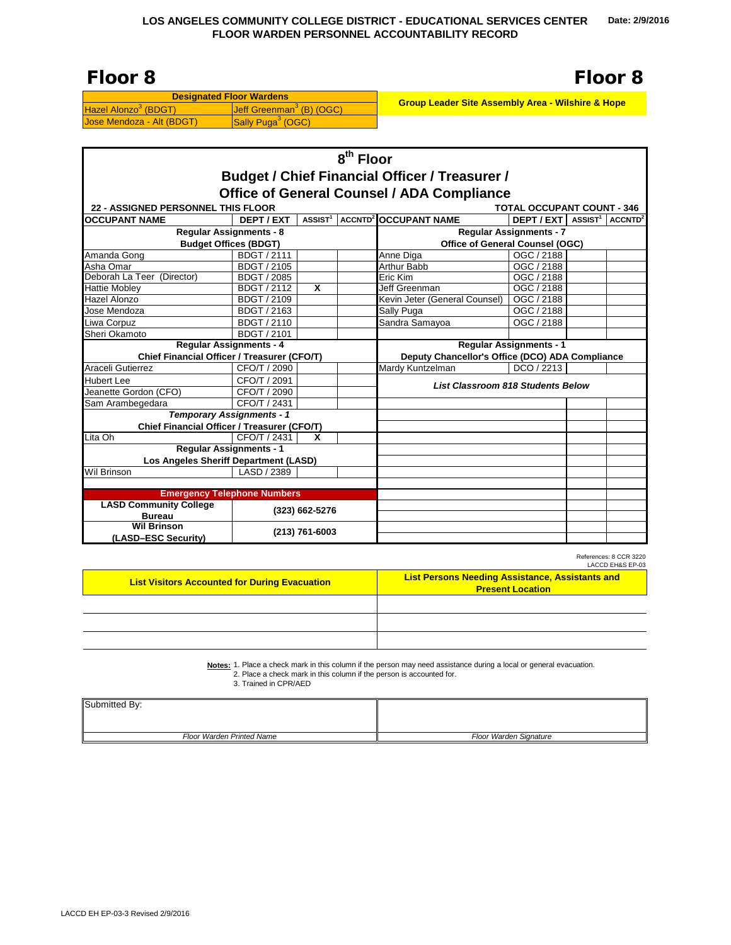### Floor 8

| 8 <sup>th</sup> Floor                                 |                    |                         |  |                                                 |                                   |            |                     |  |
|-------------------------------------------------------|--------------------|-------------------------|--|-------------------------------------------------|-----------------------------------|------------|---------------------|--|
| <b>Budget / Chief Financial Officer / Treasurer /</b> |                    |                         |  |                                                 |                                   |            |                     |  |
| <b>Office of General Counsel / ADA Compliance</b>     |                    |                         |  |                                                 |                                   |            |                     |  |
| 22 - ASSIGNED PERSONNEL THIS FLOOR                    |                    |                         |  |                                                 | <b>TOTAL OCCUPANT COUNT - 346</b> |            |                     |  |
| <b>OCCUPANT NAME</b>                                  | <b>DEPT/EXT</b>    | ASSIST <sup>1</sup>     |  | <b>ACCNTD<sup>2</sup> OCCUPANT NAME</b>         | DEPT / EXT                        | $ASSIST^T$ | ACCNTD <sup>2</sup> |  |
| <b>Regular Assignments - 8</b>                        |                    |                         |  | <b>Regular Assignments - 7</b>                  |                                   |            |                     |  |
| <b>Budget Offices (BDGT)</b>                          |                    |                         |  | <b>Office of General Counsel (OGC)</b>          |                                   |            |                     |  |
| Amanda Gong                                           | <b>BDGT / 2111</b> |                         |  | Anne Diga                                       | OGC / 2188                        |            |                     |  |
| Asha Omar                                             | <b>BDGT / 2105</b> |                         |  | <b>Arthur Babb</b>                              | OGC / 2188                        |            |                     |  |
| Deborah La Teer (Director)                            | <b>BDGT / 2085</b> |                         |  | Eric Kim                                        | OGC / 2188                        |            |                     |  |
| <b>Hattie Mobley</b>                                  | <b>BDGT / 2112</b> | $\overline{\mathbf{X}}$ |  | <b>Jeff Greenman</b>                            | OGC / 2188                        |            |                     |  |
| <b>Hazel Alonzo</b>                                   | <b>BDGT / 2109</b> |                         |  | Kevin Jeter (General Counsel)                   | OGC / 2188                        |            |                     |  |
| Jose Mendoza                                          | <b>BDGT / 2163</b> |                         |  | <b>Sally Puga</b>                               | OGC / 2188                        |            |                     |  |
| Liwa Corpuz                                           | <b>BDGT / 2110</b> |                         |  | Sandra Samayoa                                  | OGC / 2188                        |            |                     |  |
| <b>Sheri Okamoto</b>                                  | <b>BDGT / 2101</b> |                         |  |                                                 |                                   |            |                     |  |
| <b>Regular Assignments - 4</b>                        |                    |                         |  | <b>Regular Assignments - 1</b>                  |                                   |            |                     |  |
| <b>Chief Financial Officer / Treasurer (CFO/T)</b>    |                    |                         |  | Deputy Chancellor's Office (DCO) ADA Compliance |                                   |            |                     |  |
| Araceli Gutierrez                                     | CFO/T / 2090       |                         |  | Mardy Kuntzelman                                | DCO / 2213                        |            |                     |  |
| <b>Hubert Lee</b>                                     | CFO/T / 2091       |                         |  |                                                 |                                   |            |                     |  |
| Jeanette Gordon (CFO)                                 | CFO/T / 2090       |                         |  | <b>List Classroom 818 Students Below</b>        |                                   |            |                     |  |
| Sam Arambegedara                                      | CFO/T / 2431       |                         |  |                                                 |                                   |            |                     |  |
| <b>Temporary Assignments - 1</b>                      |                    |                         |  |                                                 |                                   |            |                     |  |
| <b>Chief Financial Officer / Treasurer (CFO/T)</b>    |                    |                         |  |                                                 |                                   |            |                     |  |
| Lita Oh                                               | CFO/T / 2431       | X                       |  |                                                 |                                   |            |                     |  |
| <b>Regular Assignments - 1</b>                        |                    |                         |  |                                                 |                                   |            |                     |  |
| <b>Los Angeles Sheriff Department (LASD)</b>          |                    |                         |  |                                                 |                                   |            |                     |  |
| <b>Wil Brinson</b>                                    | LASD / 2389        |                         |  |                                                 |                                   |            |                     |  |
|                                                       |                    |                         |  |                                                 |                                   |            |                     |  |
| <b>Emergency Telephone Numbers</b>                    |                    |                         |  |                                                 |                                   |            |                     |  |
| <b>LASD Community College</b>                         | (323) 662-5276     |                         |  |                                                 |                                   |            |                     |  |
| <b>Bureau</b>                                         |                    |                         |  |                                                 |                                   |            |                     |  |
| <b>Wil Brinson</b>                                    | (213) 761-6003     |                         |  |                                                 |                                   |            |                     |  |
| (LASD-ESC Security)                                   |                    |                         |  |                                                 |                                   |            |                     |  |

- 2. Place a check mark in this column if the person is accounted for.
- 3. Trained in CPR/AED

| <b>Designated Floor Wardens</b>  |                                      |  |  |  |  |
|----------------------------------|--------------------------------------|--|--|--|--|
| Hazel Alonzo <sup>3</sup> (BDGT) | Jeff Greenman <sup>3</sup> (B) (OGC) |  |  |  |  |
| Jose Mendoza - Alt (BDGT)        | Sally Puga <sup>3</sup> (OGC)        |  |  |  |  |

**Group Leader Site Assembly Area - Wilshire & Hope** 

1. Place a check mark in this column if the person may need assistance during a local or general evacuation. **Notes:**

| Submitted By:                    |                        |
|----------------------------------|------------------------|
|                                  |                        |
|                                  |                        |
| <b>Floor Warden Printed Name</b> | Floor Warden Signature |

## Floor 8

References: 8 CCR 3220 LACCD EH&S EP-03

**List Visitors Accounted for During Evacuation List Persons Needing Assistance, Assistants and Present Location**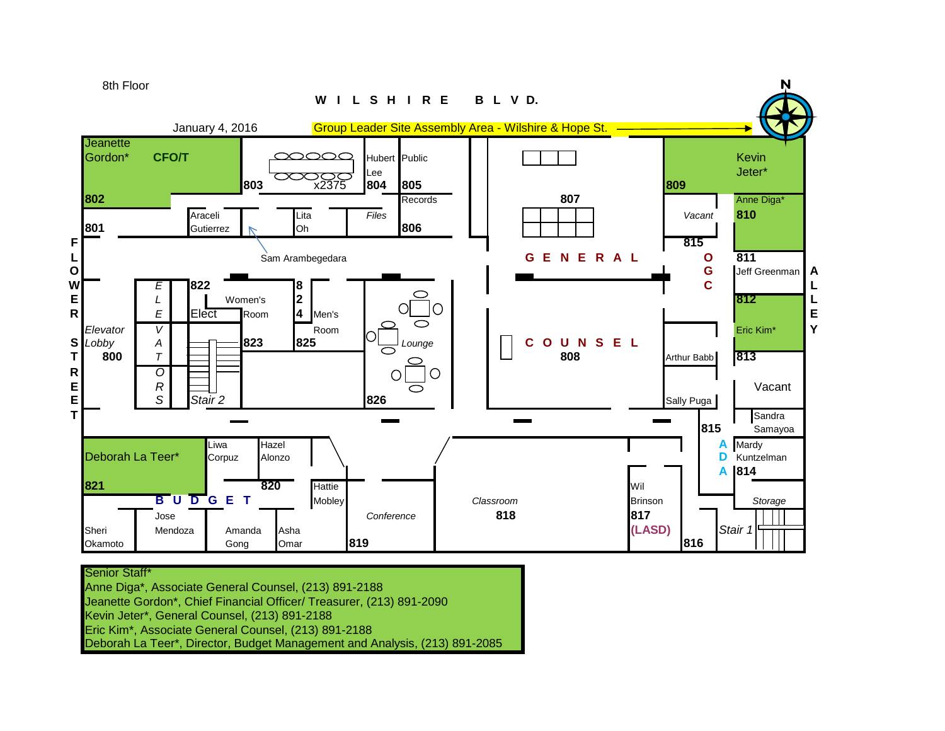

#### Senior Staff\*

Anne Diga\*, Associate General Counsel, (213) 891-2188 Jeanette Gordon\*, Chief Financial Officer/ Treasurer, (213) 891-2090 Kevin Jeter\*, General Counsel, (213) 891-2188 Eric Kim\*, Associate General Counsel, (213) 891-2188 Deborah La Teer\*, Director, Budget Management and Analysis, (213) 891-2085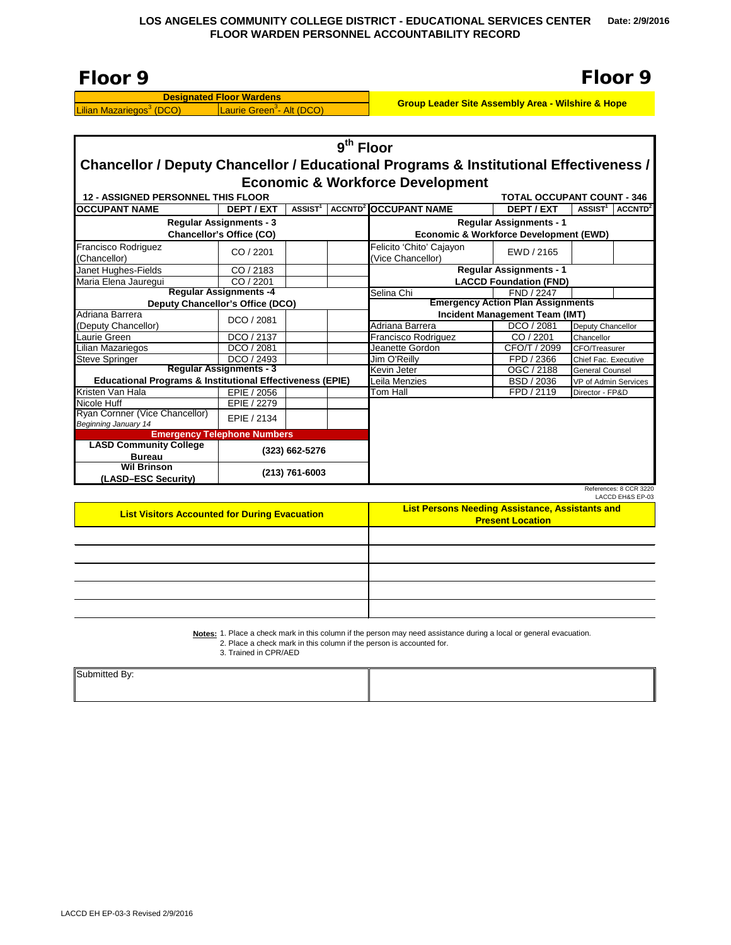LACCD EH EP-03-3 Revised 2/9/2016

### Floor 9

|                                      | <b>Designated Floor Wardens</b>       |  |  |  |
|--------------------------------------|---------------------------------------|--|--|--|
| Lilian Mazariegos <sup>3</sup> (DCO) | Laurie Green <sup>3</sup> - Alt (DCO) |  |  |  |

**Group Leader Site Assembly Area - Wilshire & Hope** 

- 1. Place a check mark in this column if the person may need assistance during a local or general evacuation. **Notes:**
	- 2. Place a check mark in this column if the person is accounted for.
	- 3. Trained in CPR/AED

**List Visitors Accounted for During Evacuation List Persons Needing Assistance, Assistants and Present Location**

| 9 <sup>th</sup> Floor                                                                 |                               |                     |  |                                                                                     |                                |                        |                                            |
|---------------------------------------------------------------------------------------|-------------------------------|---------------------|--|-------------------------------------------------------------------------------------|--------------------------------|------------------------|--------------------------------------------|
| Chancellor / Deputy Chancellor / Educational Programs & Institutional Effectiveness / |                               |                     |  |                                                                                     |                                |                        |                                            |
| <b>Economic &amp; Workforce Development</b>                                           |                               |                     |  |                                                                                     |                                |                        |                                            |
| 12 - ASSIGNED PERSONNEL THIS FLOOR                                                    |                               |                     |  | <b>TOTAL OCCUPANT COUNT - 346</b>                                                   |                                |                        |                                            |
| <b>OCCUPANT NAME</b>                                                                  | DEPT / EXT                    | ASSIST <sup>1</sup> |  | <b>ACCNTD<sup>2</sup> OCCUPANT NAME</b>                                             | <b>DEPT / EXT</b>              | ${\sf ASSIST}^1$       | ACCNTD <sup>2</sup>                        |
| <b>Regular Assignments - 3</b><br><b>Chancellor's Office (CO)</b>                     |                               |                     |  | <b>Regular Assignments - 1</b><br><b>Economic &amp; Workforce Development (EWD)</b> |                                |                        |                                            |
| <b>Francisco Rodriguez</b><br>(Chancellor)                                            | CO / 2201                     |                     |  | Felicito 'Chito' Cajayon<br>(Vice Chancellor)                                       | EWD / 2165                     |                        |                                            |
| Janet Hughes-Fields                                                                   | CO / 2183                     |                     |  |                                                                                     | <b>Regular Assignments - 1</b> |                        |                                            |
| Maria Elena Jauregui                                                                  | CO / 2201                     |                     |  |                                                                                     | <b>LACCD Foundation (FND)</b>  |                        |                                            |
|                                                                                       | <b>Regular Assignments -4</b> |                     |  | Selina Chi                                                                          | FND / 2247                     |                        |                                            |
| <b>Deputy Chancellor's Office (DCO)</b>                                               |                               |                     |  | <b>Emergency Action Plan Assignments</b>                                            |                                |                        |                                            |
| Adriana Barrera                                                                       | DCO / 2081                    |                     |  | <b>Incident Management Team (IMT)</b>                                               |                                |                        |                                            |
| (Deputy Chancellor)                                                                   |                               |                     |  | Adriana Barrera                                                                     | DCO / 2081                     | Deputy Chancellor      |                                            |
| Laurie Green                                                                          | DCO / 2137                    |                     |  | Francisco Rodriguez                                                                 | CO / 2201                      | Chancellor             |                                            |
| Lilian Mazariegos                                                                     | DCO / 2081                    |                     |  | Jeanette Gordon                                                                     | CFO/T / 2099                   | CFO/Treasurer          |                                            |
| <b>Steve Springer</b>                                                                 | DCO / 2493                    |                     |  | Jim O'Reilly                                                                        | FPD / 2366                     | Chief Fac. Executive   |                                            |
| <b>Regular Assignments - 3</b>                                                        |                               |                     |  | <b>Kevin Jeter</b>                                                                  | OGC / 2188                     | <b>General Counsel</b> |                                            |
| <b>Educational Programs &amp; Institutional Effectiveness (EPIE)</b>                  |                               |                     |  | Leila Menzies                                                                       | <b>BSD / 2036</b>              | VP of Admin Services   |                                            |
| Kristen Van Hala                                                                      | EPIE / 2056                   |                     |  | <b>Tom Hall</b>                                                                     | FPD / 2119                     | Director - FP&D        |                                            |
| Nicole Huff                                                                           | EPIE / 2279                   |                     |  |                                                                                     |                                |                        |                                            |
| Ryan Cornner (Vice Chancellor)<br><b>Beginning January 14</b>                         | EPIE / 2134                   |                     |  |                                                                                     |                                |                        |                                            |
| <b>Emergency Telephone Numbers</b>                                                    |                               |                     |  |                                                                                     |                                |                        |                                            |
| <b>LASD Community College</b><br><b>Bureau</b>                                        | (323) 662-5276                |                     |  |                                                                                     |                                |                        |                                            |
| <b>Wil Brinson</b><br>(LASD-ESC Security)                                             | $(213)$ 761-6003              |                     |  |                                                                                     |                                |                        |                                            |
|                                                                                       |                               |                     |  |                                                                                     |                                |                        | References: 8 CCR 3220<br>LACCD EH&S EP-03 |